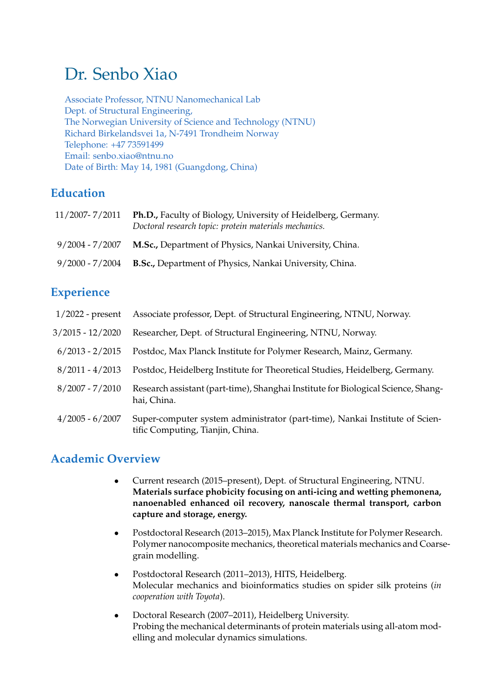# Dr. Senbo Xiao

Associate Professor, NTNU Nanomechanical Lab Dept. of Structural Engineering, The Norwegian University of Science and Technology (NTNU) Richard Birkelandsvei 1a, N-7491 Trondheim Norway Telephone: +47 73591499 Email: senbo.xiao@ntnu.no Date of Birth: May 14, 1981 (Guangdong, China)

## **Education**

| 11/2007-7/2011  | Ph.D., Faculty of Biology, University of Heidelberg, Germany.<br>Doctoral research topic: protein materials mechanics. |
|-----------------|------------------------------------------------------------------------------------------------------------------------|
| 9/2004 - 7/2007 | <b>M.Sc., Department of Physics, Nankai University, China.</b>                                                         |
| 9/2000 - 7/2004 | <b>B.Sc., Department of Physics, Nankai University, China.</b>                                                         |

# **Experience**

| $1/2022$ - present | Associate professor, Dept. of Structural Engineering, NTNU, Norway.                                             |
|--------------------|-----------------------------------------------------------------------------------------------------------------|
| $3/2015 - 12/2020$ | Researcher, Dept. of Structural Engineering, NTNU, Norway.                                                      |
| $6/2013 - 2/2015$  | Postdoc, Max Planck Institute for Polymer Research, Mainz, Germany.                                             |
| $8/2011 - 4/2013$  | Postdoc, Heidelberg Institute for Theoretical Studies, Heidelberg, Germany.                                     |
| $8/2007 - 7/2010$  | Research assistant (part-time), Shanghai Institute for Biological Science, Shang-<br>hai, China.                |
| $4/2005 - 6/2007$  | Super-computer system administrator (part-time), Nankai Institute of Scien-<br>tific Computing, Tianjin, China. |

## **Academic Overview**

- Current research (2015–present), Dept. of Structural Engineering, NTNU. **Materials surface phobicity focusing on anti-icing and wetting phemonena, nanoenabled enhanced oil recovery, nanoscale thermal transport, carbon capture and storage, energy.**
- Postdoctoral Research (2013–2015), Max Planck Institute for Polymer Research. Polymer nanocomposite mechanics, theoretical materials mechanics and Coarsegrain modelling.
- Postdoctoral Research (2011–2013), HITS, Heidelberg. Molecular mechanics and bioinformatics studies on spider silk proteins (*in cooperation with Toyota*).
- Doctoral Research (2007–2011), Heidelberg University. Probing the mechanical determinants of protein materials using all-atom modelling and molecular dynamics simulations.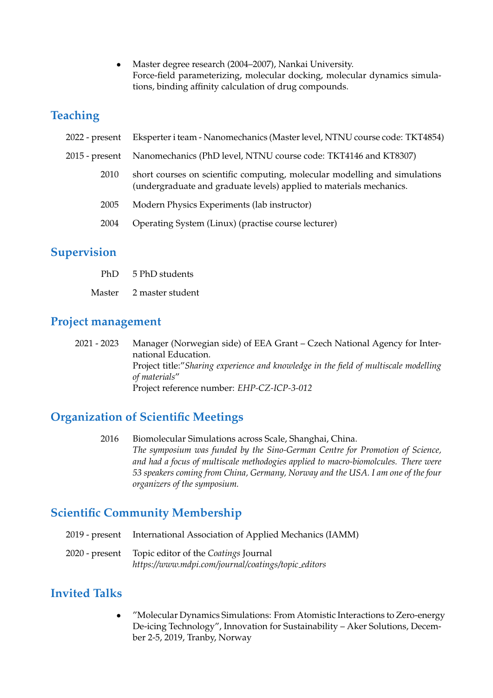• Master degree research (2004–2007), Nankai University. Force-field parameterizing, molecular docking, molecular dynamics simulations, binding affinity calculation of drug compounds.

### **Teaching**

| 2022 - present | Eksperter i team - Nanomechanics (Master level, NTNU course code: TKT4854)                                                                        |
|----------------|---------------------------------------------------------------------------------------------------------------------------------------------------|
| 2015 - present | Nanomechanics (PhD level, NTNU course code: TKT4146 and KT8307)                                                                                   |
| 2010           | short courses on scientific computing, molecular modelling and simulations<br>(undergraduate and graduate levels) applied to materials mechanics. |
| 2005           | Modern Physics Experiments (lab instructor)                                                                                                       |
| 2004           | Operating System (Linux) (practise course lecturer)                                                                                               |
|                |                                                                                                                                                   |

## **Supervision**

- PhD 5 PhD students
- Master 2 master student

#### **Project management**

2021 - 2023 Manager (Norwegian side) of EEA Grant – Czech National Agency for International Education. Project title:"*Sharing experience and knowledge in the field of multiscale modelling of materials*" Project reference number: *EHP-CZ-ICP-3-012*

## **Organization of Scientific Meetings**

2016 Biomolecular Simulations across Scale, Shanghai, China. *The symposium was funded by the Sino-German Centre for Promotion of Science, and had a focus of multiscale methodogies applied to macro-biomolcules. There were 53 speakers coming from China, Germany, Norway and the USA. I am one of the four organizers of the symposium.*

## **Scientific Community Membership**

- 2019 present International Association of Applied Mechanics (IAMM)
- 2020 present Topic editor of the *Coatings* Journal *https://www.mdpi.com/journal/coatings/topic editors*

# **Invited Talks**

• "Molecular Dynamics Simulations: From Atomistic Interactions to Zero-energy De-icing Technology", Innovation for Sustainability – Aker Solutions, December 2-5, 2019, Tranby, Norway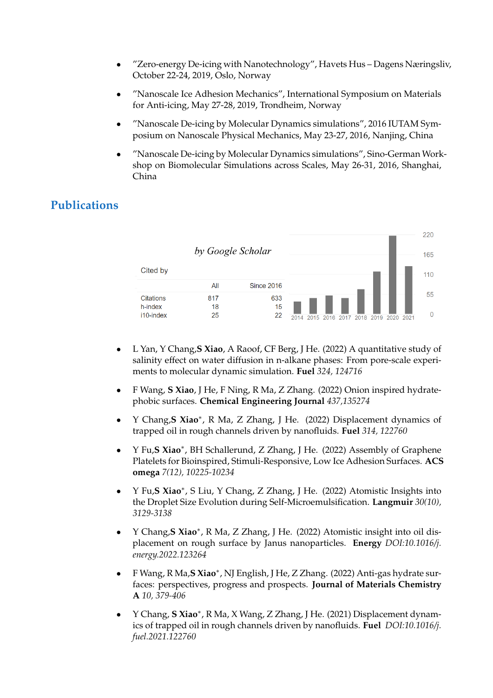- "Zero-energy De-icing with Nanotechnology", Havets Hus Dagens Næringsliv, October 22-24, 2019, Oslo, Norway
- "Nanoscale Ice Adhesion Mechanics", International Symposium on Materials for Anti-icing, May 27-28, 2019, Trondheim, Norway
- "Nanoscale De-icing by Molecular Dynamics simulations", 2016 IUTAM Symposium on Nanoscale Physical Mechanics, May 23-27, 2016, Nanjing, China
- "Nanoscale De-icing by Molecular Dynamics simulations", Sino-German Workshop on Biomolecular Simulations across Scales, May 26-31, 2016, Shanghai, China

## **Publications**



- L Yan, Y Chang,**S Xiao**, A Raoof, CF Berg, J He. (2022) A quantitative study of salinity effect on water diffusion in n-alkane phases: From pore-scale experiments to molecular dynamic simulation. **Fuel** *324, 124716*
- F Wang, **S Xiao**, J He, F Ning, R Ma, Z Zhang. (2022) Onion inspired hydratephobic surfaces. **Chemical Engineering Journal** *437,135274*
- Y Chang,**S Xiao**<sup>∗</sup> , R Ma, Z Zhang, J He. (2022) Displacement dynamics of trapped oil in rough channels driven by nanofluids. **Fuel** *314, 122760*
- Y Fu,**S Xiao**<sup>∗</sup> , BH Schallerund, Z Zhang, J He. (2022) Assembly of Graphene Platelets for Bioinspired, Stimuli-Responsive, Low Ice Adhesion Surfaces. **ACS omega** *7(12), 10225-10234*
- Y Fu,**S Xiao**<sup>∗</sup> , S Liu, Y Chang, Z Zhang, J He. (2022) Atomistic Insights into the Droplet Size Evolution during Self-Microemulsification. **Langmuir** *30(10), 3129-3138*
- Y Chang,**S Xiao**<sup>∗</sup> , R Ma, Z Zhang, J He. (2022) Atomistic insight into oil displacement on rough surface by Janus nanoparticles. **Energy** *DOI:10.1016/j. energy.2022.123264*
- F Wang, R Ma,**S Xiao**<sup>∗</sup> , NJ English, J He, Z Zhang. (2022) Anti-gas hydrate surfaces: perspectives, progress and prospects. **Journal of Materials Chemistry A** *10, 379-406*
- Y Chang, **S Xiao**<sup>∗</sup> , R Ma, X Wang, Z Zhang, J He. (2021) Displacement dynamics of trapped oil in rough channels driven by nanofluids. **Fuel** *DOI:10.1016/j. fuel.2021.122760*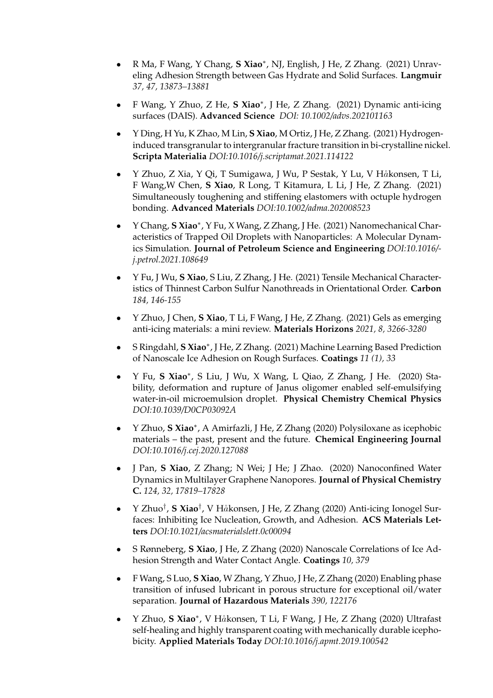- R Ma, F Wang, Y Chang, **S Xiao**<sup>∗</sup> , NJ, English, J He, Z Zhang. (2021) Unraveling Adhesion Strength between Gas Hydrate and Solid Surfaces. **Langmuir** *37, 47, 13873–13881*
- F Wang, Y Zhuo, Z He, **S Xiao**<sup>∗</sup> , J He, Z Zhang. (2021) Dynamic anti-icing surfaces (DAIS). **Advanced Science** *DOI: 10.1002/advs.202101163*
- Y Ding, H Yu, K Zhao, M Lin, **S Xiao**, M Ortiz, J He, Z Zhang. (2021) Hydrogeninduced transgranular to intergranular fracture transition in bi-crystalline nickel. **Scripta Materialia** *DOI:10.1016/j.scriptamat.2021.114122*
- Y Zhuo, Z Xia, Y Qi, T Sumigawa, J Wu, P Sestak, Y Lu, V Håkonsen, T Li, F Wang,W Chen, **S Xiao**, R Long, T Kitamura, L Li, J He, Z Zhang. (2021) Simultaneously toughening and stiffening elastomers with octuple hydrogen bonding. **Advanced Materials** *DOI:10.1002/adma.202008523*
- Y Chang, **S Xiao**<sup>∗</sup> , Y Fu, X Wang, Z Zhang, J He. (2021) Nanomechanical Characteristics of Trapped Oil Droplets with Nanoparticles: A Molecular Dynamics Simulation. **Journal of Petroleum Science and Engineering** *DOI:10.1016/ j.petrol.2021.108649*
- Y Fu, J Wu, **S Xiao**, S Liu, Z Zhang, J He. (2021) Tensile Mechanical Characteristics of Thinnest Carbon Sulfur Nanothreads in Orientational Order. **Carbon** *184, 146-155*
- Y Zhuo, J Chen, **S Xiao**, T Li, F Wang, J He, Z Zhang. (2021) Gels as emerging anti-icing materials: a mini review. **Materials Horizons** *2021, 8, 3266-3280*
- S Ringdahl, **S Xiao**<sup>∗</sup> , J He, Z Zhang. (2021) Machine Learning Based Prediction of Nanoscale Ice Adhesion on Rough Surfaces. **Coatings** *11 (1), 33*
- Y Fu, **S Xiao**<sup>∗</sup> , S Liu, J Wu, X Wang, L Qiao, Z Zhang, J He. (2020) Stability, deformation and rupture of Janus oligomer enabled self-emulsifying water-in-oil microemulsion droplet. **Physical Chemistry Chemical Physics** *DOI:10.1039/D0CP03092A*
- Y Zhuo, **S Xiao**<sup>∗</sup> , A Amirfazli, J He, Z Zhang (2020) Polysiloxane as icephobic materials – the past, present and the future. **Chemical Engineering Journal** *DOI:10.1016/j.cej.2020.127088*
- J Pan, **S Xiao**, Z Zhang; N Wei; J He; J Zhao. (2020) Nanoconfined Water Dynamics in Multilayer Graphene Nanopores. **Journal of Physical Chemistry C.** *124, 32, 17819–17828*
- Y Zhuo<sup>†</sup>, S Xiao<sup>†</sup>, V Håkonsen, J He, Z Zhang (2020) Anti-icing Ionogel Surfaces: Inhibiting Ice Nucleation, Growth, and Adhesion. **ACS Materials Letters** *DOI:10.1021/acsmaterialslett.0c00094*
- S Rønneberg, **S Xiao**, J He, Z Zhang (2020) Nanoscale Correlations of Ice Adhesion Strength and Water Contact Angle. **Coatings** *10, 379*
- F Wang, S Luo, **S Xiao**, W Zhang, Y Zhuo, J He, Z Zhang (2020) Enabling phase transition of infused lubricant in porous structure for exceptional oil/water separation. **Journal of Hazardous Materials** *390, 122176*
- Y Zhuo, S Xiao<sup>\*</sup>, V Håkonsen, T Li, F Wang, J He, Z Zhang (2020) Ultrafast self-healing and highly transparent coating with mechanically durable icephobicity. **Applied Materials Today** *DOI:10.1016/j.apmt.2019.100542*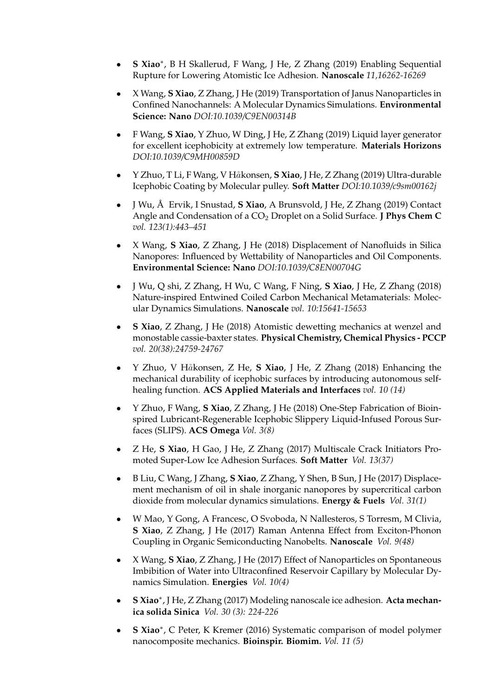- **S Xiao**<sup>∗</sup> , B H Skallerud, F Wang, J He, Z Zhang (2019) Enabling Sequential Rupture for Lowering Atomistic Ice Adhesion. **Nanoscale** *11,16262-16269*
- X Wang, **S Xiao**, Z Zhang, J He (2019) Transportation of Janus Nanoparticles in Confined Nanochannels: A Molecular Dynamics Simulations. **Environmental Science: Nano** *DOI:10.1039/C9EN00314B*
- F Wang, **S Xiao**, Y Zhuo, W Ding, J He, Z Zhang (2019) Liquid layer generator for excellent icephobicity at extremely low temperature. **Materials Horizons** *DOI:10.1039/C9MH00859D*
- Y Zhuo, T Li, F Wang, V H˚akonsen, **S Xiao**, J He, Z Zhang (2019) Ultra-durable Icephobic Coating by Molecular pulley. **Soft Matter** *DOI:10.1039/c9sm00162j*
- J Wu, Å Ervik, I Snustad, S Xiao, A Brunsvold, J He, Z Zhang (2019) Contact Angle and Condensation of a CO2 Droplet on a Solid Surface. **J Phys Chem C** *vol. 123(1):443–451*
- X Wang, **S Xiao**, Z Zhang, J He (2018) Displacement of Nanofluids in Silica Nanopores: Influenced by Wettability of Nanoparticles and Oil Components. **Environmental Science: Nano** *DOI:10.1039/C8EN00704G*
- J Wu, Q shi, Z Zhang, H Wu, C Wang, F Ning, **S Xiao**, J He, Z Zhang (2018) Nature-inspired Entwined Coiled Carbon Mechanical Metamaterials: Molecular Dynamics Simulations. **Nanoscale** *vol. 10:15641-15653*
- **S Xiao**, Z Zhang, J He (2018) Atomistic dewetting mechanics at wenzel and monostable cassie-baxter states. **Physical Chemistry, Chemical Physics - PCCP** *vol. 20(38):24759-24767*
- Y Zhuo, V H˚akonsen, Z He, **S Xiao**, J He, Z Zhang (2018) Enhancing the mechanical durability of icephobic surfaces by introducing autonomous selfhealing function. **ACS Applied Materials and Interfaces** *vol. 10 (14)*
- Y Zhuo, F Wang, **S Xiao**, Z Zhang, J He (2018) One-Step Fabrication of Bioinspired Lubricant-Regenerable Icephobic Slippery Liquid-Infused Porous Surfaces (SLIPS). **ACS Omega** *Vol. 3(8)*
- Z He, **S Xiao**, H Gao, J He, Z Zhang (2017) Multiscale Crack Initiators Promoted Super-Low Ice Adhesion Surfaces. **Soft Matter** *Vol. 13(37)*
- B Liu, C Wang, J Zhang, **S Xiao**, Z Zhang, Y Shen, B Sun, J He (2017) Displacement mechanism of oil in shale inorganic nanopores by supercritical carbon dioxide from molecular dynamics simulations. **Energy & Fuels** *Vol. 31(1)*
- W Mao, Y Gong, A Francesc, O Svoboda, N Nallesteros, S Torresm, M Clivia, **S Xiao**, Z Zhang, J He (2017) Raman Antenna Effect from Exciton-Phonon Coupling in Organic Semiconducting Nanobelts. **Nanoscale** *Vol. 9(48)*
- X Wang, **S Xiao**, Z Zhang, J He (2017) Effect of Nanoparticles on Spontaneous Imbibition of Water into Ultraconfined Reservoir Capillary by Molecular Dynamics Simulation. **Energies** *Vol. 10(4)*
- **S Xiao**<sup>∗</sup> , J He, Z Zhang (2017) Modeling nanoscale ice adhesion. **Acta mechanica solida Sinica** *Vol. 30 (3): 224-226*
- **S Xiao**<sup>∗</sup> , C Peter, K Kremer (2016) Systematic comparison of model polymer nanocomposite mechanics. **Bioinspir. Biomim.** *Vol. 11 (5)*